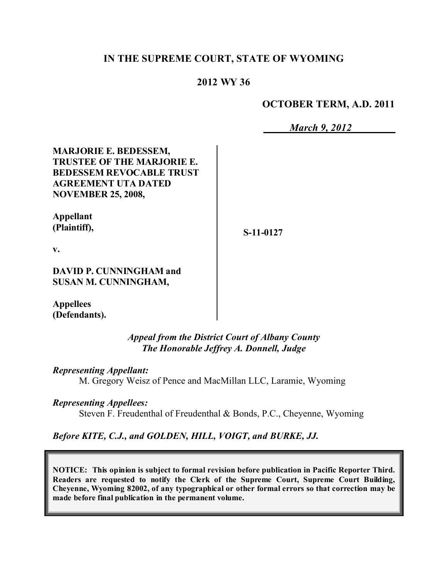### **IN THE SUPREME COURT, STATE OF WYOMING**

## **2012 WY 36**

#### **OCTOBER TERM, A.D. 2011**

*March 9, 2012*

**MARJORIE E. BEDESSEM, TRUSTEE OF THE MARJORIE E. BEDESSEM REVOCABLE TRUST AGREEMENT UTA DATED NOVEMBER 25, 2008,**

**Appellant (Plaintiff),**

**S-11-0127**

**v.**

**DAVID P. CUNNINGHAM and SUSAN M. CUNNINGHAM,**

**Appellees (Defendants).**

> *Appeal from the District Court of Albany County The Honorable Jeffrey A. Donnell, Judge*

*Representing Appellant:*

M. Gregory Weisz of Pence and MacMillan LLC, Laramie, Wyoming

*Representing Appellees:*

Steven F. Freudenthal of Freudenthal & Bonds, P.C., Cheyenne, Wyoming

*Before KITE, C.J., and GOLDEN, HILL, VOIGT, and BURKE, JJ.*

**NOTICE: This opinion is subject to formal revision before publication in Pacific Reporter Third. Readers are requested to notify the Clerk of the Supreme Court, Supreme Court Building, Cheyenne, Wyoming 82002, of any typographical or other formal errors so that correction may be made before final publication in the permanent volume.**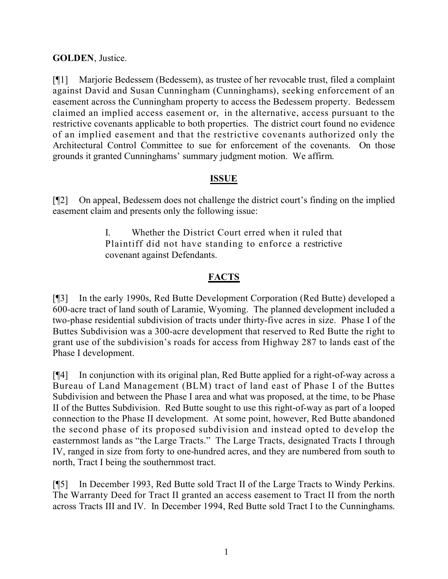## **GOLDEN**, Justice.

[¶1] Marjorie Bedessem (Bedessem), as trustee of her revocable trust, filed a complaint against David and Susan Cunningham (Cunninghams), seeking enforcement of an easement across the Cunningham property to access the Bedessem property. Bedessem claimed an implied access easement or, in the alternative, access pursuant to the restrictive covenants applicable to both properties. The district court found no evidence of an implied easement and that the restrictive covenants authorized only the Architectural Control Committee to sue for enforcement of the covenants. On those grounds it granted Cunninghams' summary judgment motion. We affirm.

#### **ISSUE**

[¶2] On appeal, Bedessem does not challenge the district court's finding on the implied easement claim and presents only the following issue:

> I. Whether the District Court erred when it ruled that Plaintiff did not have standing to enforce a restrictive covenant against Defendants.

# **FACTS**

[¶3] In the early 1990s, Red Butte Development Corporation (Red Butte) developed a 600-acre tract of land south of Laramie, Wyoming. The planned development included a two-phase residential subdivision of tracts under thirty-five acres in size. Phase I of the Buttes Subdivision was a 300-acre development that reserved to Red Butte the right to grant use of the subdivision's roads for access from Highway 287 to lands east of the Phase I development.

[¶4] In conjunction with its original plan, Red Butte applied for a right-of-way across a Bureau of Land Management (BLM) tract of land east of Phase I of the Buttes Subdivision and between the Phase I area and what was proposed, at the time, to be Phase II of the Buttes Subdivision. Red Butte sought to use this right-of-way as part of a looped connection to the Phase II development. At some point, however, Red Butte abandoned the second phase of its proposed subdivision and instead opted to develop the easternmost lands as "the Large Tracts." The Large Tracts, designated Tracts I through IV, ranged in size from forty to one-hundred acres, and they are numbered from south to north, Tract I being the southernmost tract.

[¶5] In December 1993, Red Butte sold Tract II of the Large Tracts to Windy Perkins. The Warranty Deed for Tract II granted an access easement to Tract II from the north across Tracts III and IV. In December 1994, Red Butte sold Tract I to the Cunninghams.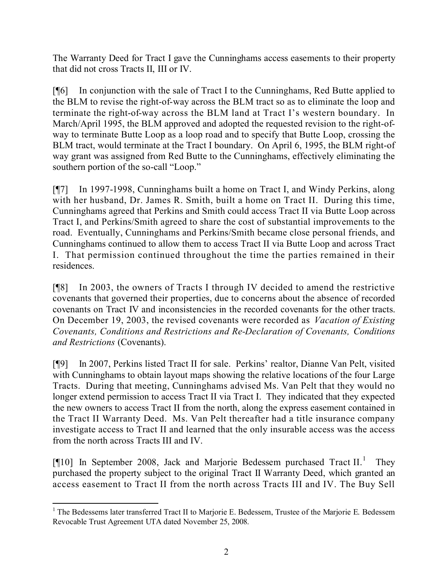The Warranty Deed for Tract I gave the Cunninghams access easements to their property that did not cross Tracts II, III or IV.

[¶6] In conjunction with the sale of Tract I to the Cunninghams, Red Butte applied to the BLM to revise the right-of-way across the BLM tract so as to eliminate the loop and terminate the right-of-way across the BLM land at Tract I's western boundary. In March/April 1995, the BLM approved and adopted the requested revision to the right-ofway to terminate Butte Loop as a loop road and to specify that Butte Loop, crossing the BLM tract, would terminate at the Tract I boundary. On April 6, 1995, the BLM right-of way grant was assigned from Red Butte to the Cunninghams, effectively eliminating the southern portion of the so-call "Loop."

[¶7] In 1997-1998, Cunninghams built a home on Tract I, and Windy Perkins, along with her husband, Dr. James R. Smith, built a home on Tract II. During this time, Cunninghams agreed that Perkins and Smith could access Tract II via Butte Loop across Tract I, and Perkins/Smith agreed to share the cost of substantial improvements to the road. Eventually, Cunninghams and Perkins/Smith became close personal friends, and Cunninghams continued to allow them to access Tract II via Butte Loop and across Tract I. That permission continued throughout the time the parties remained in their residences.

[¶8] In 2003, the owners of Tracts I through IV decided to amend the restrictive covenants that governed their properties, due to concerns about the absence of recorded covenants on Tract IV and inconsistencies in the recorded covenants for the other tracts. On December 19, 2003, the revised covenants were recorded as *Vacation of Existing Covenants, Conditions and Restrictions and Re-Declaration of Covenants, Conditions and Restrictions* (Covenants).

[¶9] In 2007, Perkins listed Tract II for sale. Perkins' realtor, Dianne Van Pelt, visited with Cunninghams to obtain layout maps showing the relative locations of the four Large Tracts. During that meeting, Cunninghams advised Ms. Van Pelt that they would no longer extend permission to access Tract II via Tract I. They indicated that they expected the new owners to access Tract II from the north, along the express easement contained in the Tract II Warranty Deed. Ms. Van Pelt thereafter had a title insurance company investigate access to Tract II and learned that the only insurable access was the access from the north across Tracts III and IV.

[¶10] In September 2008, Jack and Marjorie Bedessem purchased Tract II.<sup>1</sup> They purchased the property subject to the original Tract II Warranty Deed, which granted an access easement to Tract II from the north across Tracts III and IV. The Buy Sell

 $\overline{a}$ <sup>1</sup> The Bedessems later transferred Tract II to Marjorie E. Bedessem, Trustee of the Marjorie E. Bedessem Revocable Trust Agreement UTA dated November 25, 2008.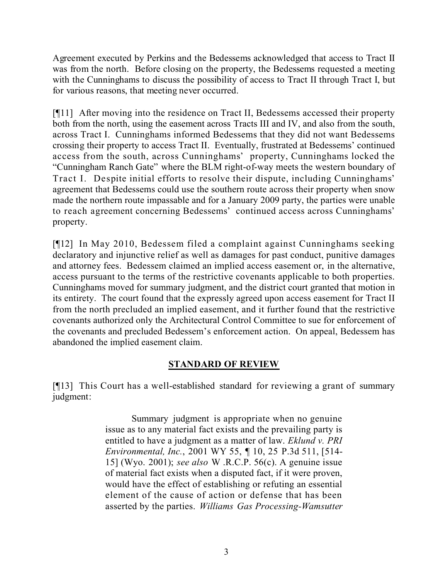Agreement executed by Perkins and the Bedessems acknowledged that access to Tract II was from the north. Before closing on the property, the Bedessems requested a meeting with the Cunninghams to discuss the possibility of access to Tract II through Tract I, but for various reasons, that meeting never occurred.

[¶11] After moving into the residence on Tract II, Bedessems accessed their property both from the north, using the easement across Tracts III and IV, and also from the south, across Tract I. Cunninghams informed Bedessems that they did not want Bedessems crossing their property to access Tract II. Eventually, frustrated at Bedessems' continued access from the south, across Cunninghams' property, Cunninghams locked the "Cunningham Ranch Gate" where the BLM right-of-way meets the western boundary of Tract I. Despite initial efforts to resolve their dispute, including Cunninghams' agreement that Bedessems could use the southern route across their property when snow made the northern route impassable and for a January 2009 party, the parties were unable to reach agreement concerning Bedessems' continued access across Cunninghams' property.

[¶12] In May 2010, Bedessem filed a complaint against Cunninghams seeking declaratory and injunctive relief as well as damages for past conduct, punitive damages and attorney fees. Bedessem claimed an implied access easement or, in the alternative, access pursuant to the terms of the restrictive covenants applicable to both properties. Cunninghams moved for summary judgment, and the district court granted that motion in its entirety. The court found that the expressly agreed upon access easement for Tract II from the north precluded an implied easement, and it further found that the restrictive covenants authorized only the Architectural Control Committee to sue for enforcement of the covenants and precluded Bedessem's enforcement action. On appeal, Bedessem has abandoned the implied easement claim.

# **STANDARD OF REVIEW**

[¶13] This Court has a well-established standard for reviewing a grant of summary judgment:

> Summary judgment is appropriate when no genuine issue as to any material fact exists and the prevailing party is entitled to have a judgment as a matter of law. *Eklund v. PRI Environmental, Inc.*, 2001 WY 55, ¶ 10, 25 P.3d 511, [514- 15] (Wyo. 2001); *see also* W .R.C.P. 56(c). A genuine issue of material fact exists when a disputed fact, if it were proven, would have the effect of establishing or refuting an essential element of the cause of action or defense that has been asserted by the parties. *Williams Gas Processing-Wamsutter*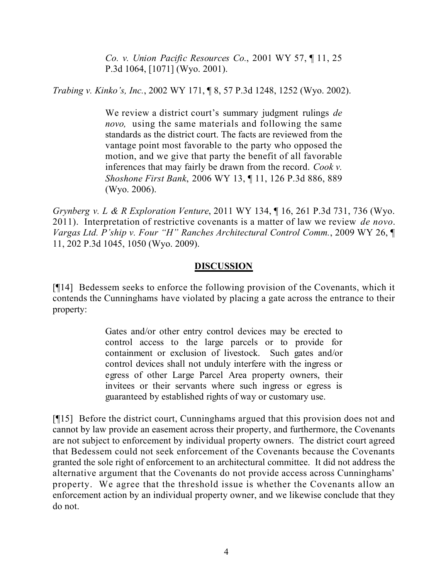*Co. v. Union Pacific Resources Co.*, 2001 WY 57, ¶ 11, 25 P.3d 1064, [1071] (Wyo. 2001).

*Trabing v. Kinko's, Inc.*, 2002 WY 171, ¶ 8, 57 P.3d 1248, 1252 (Wyo. 2002).

We review a district court's summary judgment rulings *de novo,* using the same materials and following the same standards as the district court. The facts are reviewed from the vantage point most favorable to the party who opposed the motion, and we give that party the benefit of all favorable inferences that may fairly be drawn from the record. *Cook v. Shoshone First Bank*, 2006 WY 13, ¶ 11, 126 P.3d 886, 889 (Wyo. 2006).

*Grynberg v. L & R Exploration Venture*, 2011 WY 134, ¶ 16, 261 P.3d 731, 736 (Wyo. 2011). Interpretation of restrictive covenants is a matter of law we review *de novo*. *Vargas Ltd. P'ship v. Four "H" Ranches Architectural Control Comm.*, 2009 WY 26, ¶ 11, 202 P.3d 1045, 1050 (Wyo. 2009).

# **DISCUSSION**

[¶14] Bedessem seeks to enforce the following provision of the Covenants, which it contends the Cunninghams have violated by placing a gate across the entrance to their property:

> Gates and/or other entry control devices may be erected to control access to the large parcels or to provide for containment or exclusion of livestock. Such gates and/or control devices shall not unduly interfere with the ingress or egress of other Large Parcel Area property owners, their invitees or their servants where such ingress or egress is guaranteed by established rights of way or customary use.

[¶15] Before the district court, Cunninghams argued that this provision does not and cannot by law provide an easement across their property, and furthermore, the Covenants are not subject to enforcement by individual property owners. The district court agreed that Bedessem could not seek enforcement of the Covenants because the Covenants granted the sole right of enforcement to an architectural committee. It did not address the alternative argument that the Covenants do not provide access across Cunninghams' property. We agree that the threshold issue is whether the Covenants allow an enforcement action by an individual property owner, and we likewise conclude that they do not.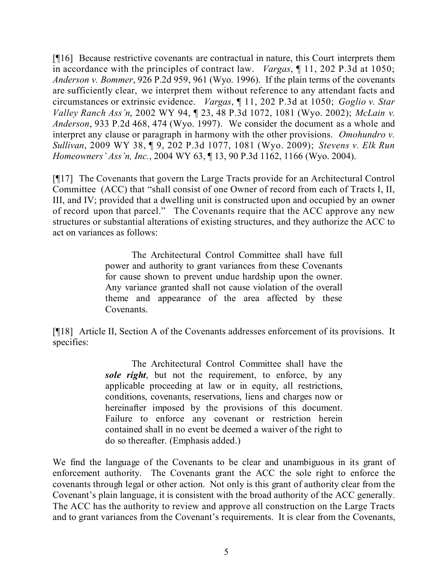[¶16] Because restrictive covenants are contractual in nature, this Court interprets them in accordance with the principles of contract law. *Vargas*, ¶ 11, 202 P.3d at 1050; *Anderson v. Bommer*, 926 P.2d 959, 961 (Wyo. 1996). If the plain terms of the covenants are sufficiently clear, we interpret them without reference to any attendant facts and circumstances or extrinsic evidence. *Vargas*, ¶ 11, 202 P.3d at 1050; *Goglio v. Star Valley Ranch Ass'n*, 2002 WY 94, ¶ 23, 48 P.3d 1072, 1081 (Wyo. 2002); *McLain v. Anderson*, 933 P.2d 468, 474 (Wyo. 1997). We consider the document as a whole and interpret any clause or paragraph in harmony with the other provisions. *Omohundro v. Sullivan*, 2009 WY 38, ¶ 9, 202 P.3d 1077, 1081 (Wyo. 2009); *Stevens v. Elk Run Homeowners' Ass'n, Inc.*, 2004 WY 63, ¶ 13, 90 P.3d 1162, 1166 (Wyo. 2004).

[¶17] The Covenants that govern the Large Tracts provide for an Architectural Control Committee (ACC) that "shall consist of one Owner of record from each of Tracts I, II, III, and IV; provided that a dwelling unit is constructed upon and occupied by an owner of record upon that parcel." The Covenants require that the ACC approve any new structures or substantial alterations of existing structures, and they authorize the ACC to act on variances as follows:

> The Architectural Control Committee shall have full power and authority to grant variances from these Covenants for cause shown to prevent undue hardship upon the owner. Any variance granted shall not cause violation of the overall theme and appearance of the area affected by these Covenants.

[¶18] Article II, Section A of the Covenants addresses enforcement of its provisions. It specifies:

> The Architectural Control Committee shall have the *sole right*, but not the requirement, to enforce, by any applicable proceeding at law or in equity, all restrictions, conditions, covenants, reservations, liens and charges now or hereinafter imposed by the provisions of this document. Failure to enforce any covenant or restriction herein contained shall in no event be deemed a waiver of the right to do so thereafter. (Emphasis added.)

We find the language of the Covenants to be clear and unambiguous in its grant of enforcement authority. The Covenants grant the ACC the sole right to enforce the covenants through legal or other action. Not only is this grant of authority clear from the Covenant's plain language, it is consistent with the broad authority of the ACC generally. The ACC has the authority to review and approve all construction on the Large Tracts and to grant variances from the Covenant's requirements. It is clear from the Covenants,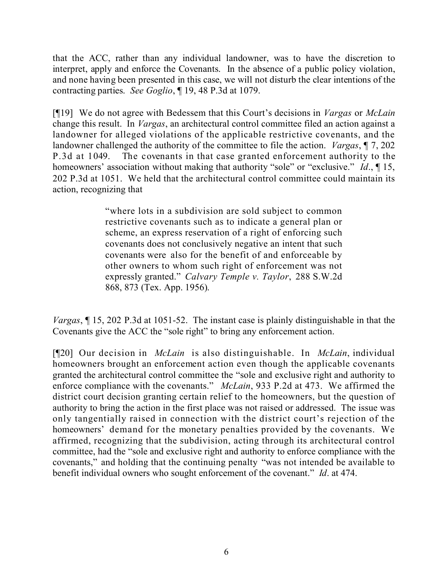that the ACC, rather than any individual landowner, was to have the discretion to interpret, apply and enforce the Covenants. In the absence of a public policy violation, and none having been presented in this case, we will not disturb the clear intentions of the contracting parties. *See Goglio*, ¶ 19, 48 P.3d at 1079.

[¶19] We do not agree with Bedessem that this Court's decisions in *Vargas* or *McLain* change this result. In *Vargas*, an architectural control committee filed an action against a landowner for alleged violations of the applicable restrictive covenants, and the landowner challenged the authority of the committee to file the action. *Vargas*, ¶ 7, 202 P.3d at 1049. The covenants in that case granted enforcement authority to the homeowners' association without making that authority "sole" or "exclusive." *Id*., ¶ 15, 202 P.3d at 1051. We held that the architectural control committee could maintain its action, recognizing that

> "where lots in a subdivision are sold subject to common restrictive covenants such as to indicate a general plan or scheme, an express reservation of a right of enforcing such covenants does not conclusively negative an intent that such covenants were also for the benefit of and enforceable by other owners to whom such right of enforcement was not expressly granted." *Calvary Temple v. Taylor*, 288 S.W.2d 868, 873 (Tex. App. 1956).

*Vargas*, ¶ 15, 202 P.3d at 1051-52. The instant case is plainly distinguishable in that the Covenants give the ACC the "sole right" to bring any enforcement action.

[¶20] Our decision in *McLain* is also distinguishable. In *McLain*, individual homeowners brought an enforcement action even though the applicable covenants granted the architectural control committee the "sole and exclusive right and authority to enforce compliance with the covenants." *McLain*, 933 P.2d at 473. We affirmed the district court decision granting certain relief to the homeowners, but the question of authority to bring the action in the first place was not raised or addressed. The issue was only tangentially raised in connection with the district court's rejection of the homeowners' demand for the monetary penalties provided by the covenants. We affirmed, recognizing that the subdivision, acting through its architectural control committee, had the "sole and exclusive right and authority to enforce compliance with the covenants," and holding that the continuing penalty "was not intended be available to benefit individual owners who sought enforcement of the covenant." *Id*. at 474.